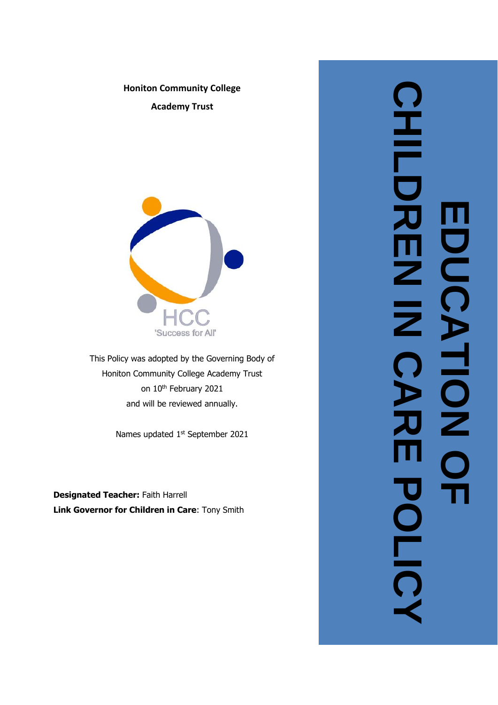

**Honiton Community College**

**Academy Trust**

This Policy was adopted by the Governing Body of Honiton Community College Academy Trust on 10<sup>th</sup> February 2021 and will be reviewed annually.

Names updated 1<sup>st</sup> September 2021

**Designated Teacher: Faith Harrell Link Governor for Children in Care**: Tony Smith

**CHILDREN IN CARE POLICY CHIDRI MOO EDUCATION OF**  п Z  $\overline{\overline{z}}$ CATION <u>Ŏ</u>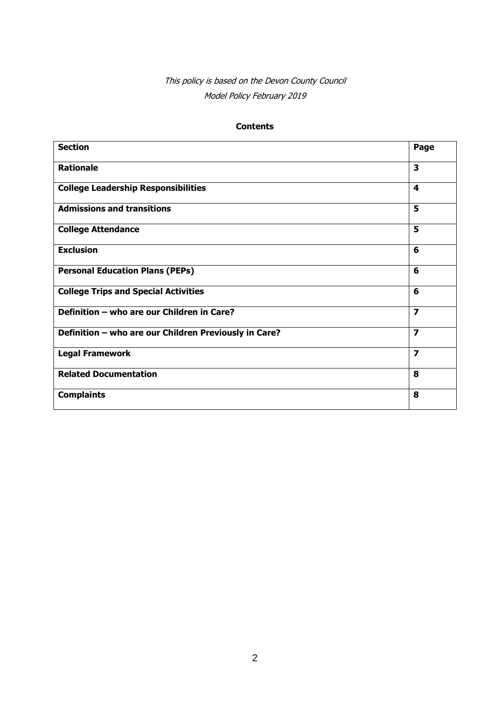# This policy is based on the Devon County Council Model Policy February 2019

### **Contents**

| <b>Section</b>                                        | Page                    |
|-------------------------------------------------------|-------------------------|
| <b>Rationale</b>                                      | 3                       |
| <b>College Leadership Responsibilities</b>            | 4                       |
| <b>Admissions and transitions</b>                     | 5                       |
| <b>College Attendance</b>                             | 5                       |
| <b>Exclusion</b>                                      | 6                       |
| <b>Personal Education Plans (PEPs)</b>                | 6                       |
| <b>College Trips and Special Activities</b>           | 6                       |
| Definition - who are our Children in Care?            | $\overline{\mathbf{z}}$ |
| Definition - who are our Children Previously in Care? | $\overline{\mathbf{z}}$ |
| <b>Legal Framework</b>                                | 7                       |
| <b>Related Documentation</b>                          | 8                       |
| <b>Complaints</b>                                     | 8                       |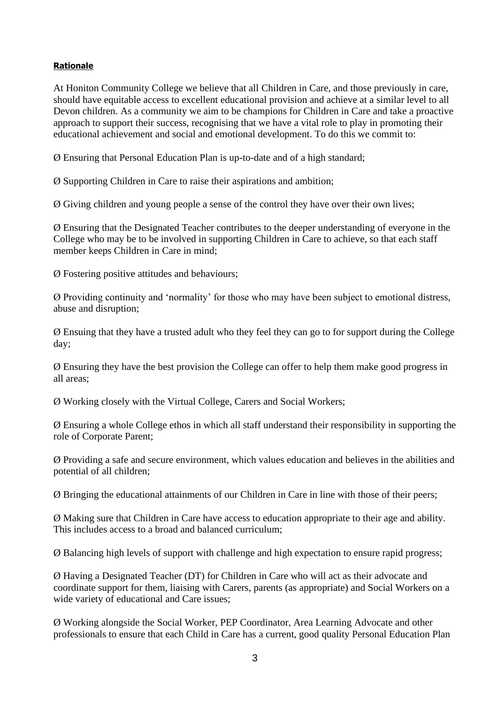### **Rationale**

At Honiton Community College we believe that all Children in Care, and those previously in care, should have equitable access to excellent educational provision and achieve at a similar level to all Devon children. As a community we aim to be champions for Children in Care and take a proactive approach to support their success, recognising that we have a vital role to play in promoting their educational achievement and social and emotional development. To do this we commit to:

Ø Ensuring that Personal Education Plan is up-to-date and of a high standard;

Ø Supporting Children in Care to raise their aspirations and ambition;

Ø Giving children and young people a sense of the control they have over their own lives;

Ø Ensuring that the Designated Teacher contributes to the deeper understanding of everyone in the College who may be to be involved in supporting Children in Care to achieve, so that each staff member keeps Children in Care in mind;

Ø Fostering positive attitudes and behaviours;

Ø Providing continuity and 'normality' for those who may have been subject to emotional distress, abuse and disruption;

Ø Ensuing that they have a trusted adult who they feel they can go to for support during the College day;

Ø Ensuring they have the best provision the College can offer to help them make good progress in all areas;

Ø Working closely with the Virtual College, Carers and Social Workers;

Ø Ensuring a whole College ethos in which all staff understand their responsibility in supporting the role of Corporate Parent;

Ø Providing a safe and secure environment, which values education and believes in the abilities and potential of all children;

Ø Bringing the educational attainments of our Children in Care in line with those of their peers;

Ø Making sure that Children in Care have access to education appropriate to their age and ability. This includes access to a broad and balanced curriculum;

Ø Balancing high levels of support with challenge and high expectation to ensure rapid progress;

Ø Having a Designated Teacher (DT) for Children in Care who will act as their advocate and coordinate support for them, liaising with Carers, parents (as appropriate) and Social Workers on a wide variety of educational and Care issues;

Ø Working alongside the Social Worker, PEP Coordinator, Area Learning Advocate and other professionals to ensure that each Child in Care has a current, good quality Personal Education Plan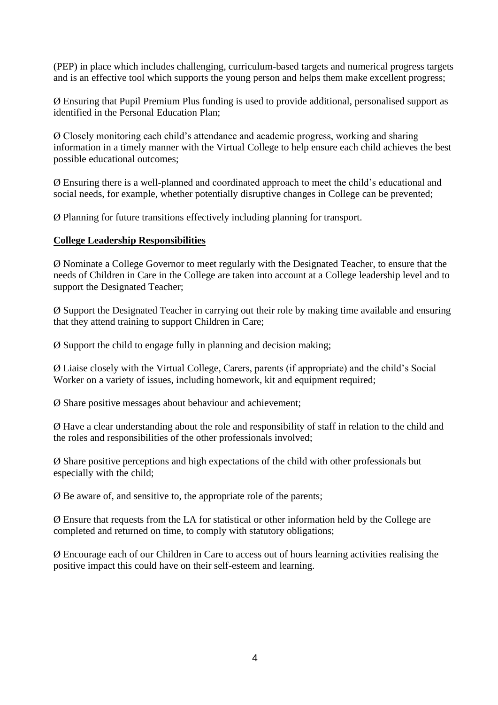(PEP) in place which includes challenging, curriculum-based targets and numerical progress targets and is an effective tool which supports the young person and helps them make excellent progress;

Ø Ensuring that Pupil Premium Plus funding is used to provide additional, personalised support as identified in the Personal Education Plan;

Ø Closely monitoring each child's attendance and academic progress, working and sharing information in a timely manner with the Virtual College to help ensure each child achieves the best possible educational outcomes;

Ø Ensuring there is a well-planned and coordinated approach to meet the child's educational and social needs, for example, whether potentially disruptive changes in College can be prevented;

Ø Planning for future transitions effectively including planning for transport.

### **College Leadership Responsibilities**

Ø Nominate a College Governor to meet regularly with the Designated Teacher, to ensure that the needs of Children in Care in the College are taken into account at a College leadership level and to support the Designated Teacher;

Ø Support the Designated Teacher in carrying out their role by making time available and ensuring that they attend training to support Children in Care;

Ø Support the child to engage fully in planning and decision making;

Ø Liaise closely with the Virtual College, Carers, parents (if appropriate) and the child's Social Worker on a variety of issues, including homework, kit and equipment required;

Ø Share positive messages about behaviour and achievement;

Ø Have a clear understanding about the role and responsibility of staff in relation to the child and the roles and responsibilities of the other professionals involved;

Ø Share positive perceptions and high expectations of the child with other professionals but especially with the child;

Ø Be aware of, and sensitive to, the appropriate role of the parents;

Ø Ensure that requests from the LA for statistical or other information held by the College are completed and returned on time, to comply with statutory obligations;

Ø Encourage each of our Children in Care to access out of hours learning activities realising the positive impact this could have on their self-esteem and learning.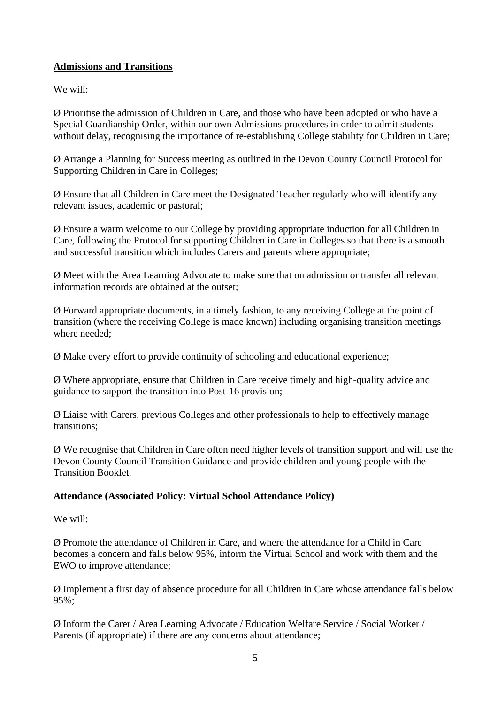## **Admissions and Transitions**

We will:

Ø Prioritise the admission of Children in Care, and those who have been adopted or who have a Special Guardianship Order, within our own Admissions procedures in order to admit students without delay, recognising the importance of re-establishing College stability for Children in Care;

Ø Arrange a Planning for Success meeting as outlined in the Devon County Council Protocol for Supporting Children in Care in Colleges;

Ø Ensure that all Children in Care meet the Designated Teacher regularly who will identify any relevant issues, academic or pastoral;

Ø Ensure a warm welcome to our College by providing appropriate induction for all Children in Care, following the Protocol for supporting Children in Care in Colleges so that there is a smooth and successful transition which includes Carers and parents where appropriate;

Ø Meet with the Area Learning Advocate to make sure that on admission or transfer all relevant information records are obtained at the outset;

Ø Forward appropriate documents, in a timely fashion, to any receiving College at the point of transition (where the receiving College is made known) including organising transition meetings where needed;

Ø Make every effort to provide continuity of schooling and educational experience;

Ø Where appropriate, ensure that Children in Care receive timely and high-quality advice and guidance to support the transition into Post-16 provision;

Ø Liaise with Carers, previous Colleges and other professionals to help to effectively manage transitions;

Ø We recognise that Children in Care often need higher levels of transition support and will use the Devon County Council Transition Guidance and provide children and young people with the Transition Booklet.

# **Attendance (Associated Policy: Virtual School Attendance Policy)**

We will:

Ø Promote the attendance of Children in Care, and where the attendance for a Child in Care becomes a concern and falls below 95%, inform the Virtual School and work with them and the EWO to improve attendance;

Ø Implement a first day of absence procedure for all Children in Care whose attendance falls below 95%;

Ø Inform the Carer / Area Learning Advocate / Education Welfare Service / Social Worker / Parents (if appropriate) if there are any concerns about attendance;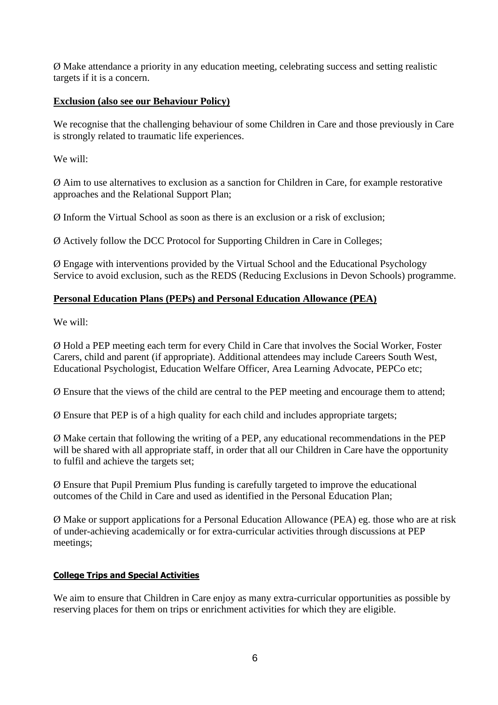Ø Make attendance a priority in any education meeting, celebrating success and setting realistic targets if it is a concern.

### **Exclusion (also see our Behaviour Policy)**

We recognise that the challenging behaviour of some Children in Care and those previously in Care is strongly related to traumatic life experiences.

We will:

Ø Aim to use alternatives to exclusion as a sanction for Children in Care, for example restorative approaches and the Relational Support Plan;

Ø Inform the Virtual School as soon as there is an exclusion or a risk of exclusion;

Ø Actively follow the DCC Protocol for Supporting Children in Care in Colleges;

Ø Engage with interventions provided by the Virtual School and the Educational Psychology Service to avoid exclusion, such as the REDS (Reducing Exclusions in Devon Schools) programme.

## **Personal Education Plans (PEPs) and Personal Education Allowance (PEA)**

We will:

Ø Hold a PEP meeting each term for every Child in Care that involves the Social Worker, Foster Carers, child and parent (if appropriate). Additional attendees may include Careers South West, Educational Psychologist, Education Welfare Officer, Area Learning Advocate, PEPCo etc;

Ø Ensure that the views of the child are central to the PEP meeting and encourage them to attend;

Ø Ensure that PEP is of a high quality for each child and includes appropriate targets;

Ø Make certain that following the writing of a PEP, any educational recommendations in the PEP will be shared with all appropriate staff, in order that all our Children in Care have the opportunity to fulfil and achieve the targets set;

Ø Ensure that Pupil Premium Plus funding is carefully targeted to improve the educational outcomes of the Child in Care and used as identified in the Personal Education Plan;

Ø Make or support applications for a Personal Education Allowance (PEA) eg. those who are at risk of under-achieving academically or for extra-curricular activities through discussions at PEP meetings;

# **College Trips and Special Activities**

We aim to ensure that Children in Care enjoy as many extra-curricular opportunities as possible by reserving places for them on trips or enrichment activities for which they are eligible.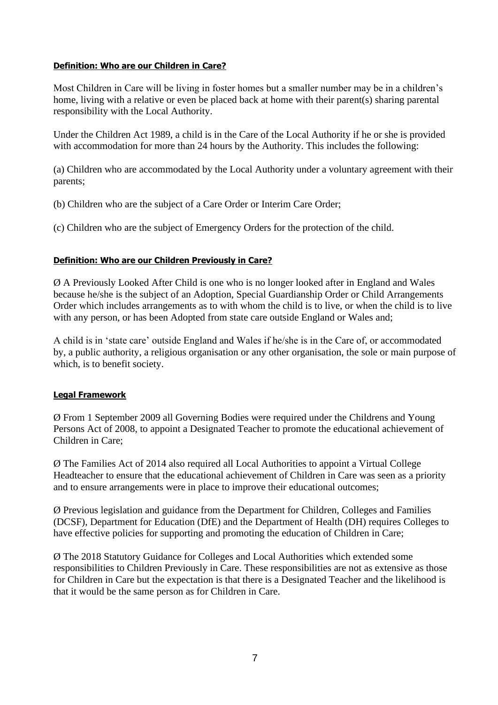#### **Definition: Who are our Children in Care?**

Most Children in Care will be living in foster homes but a smaller number may be in a children's home, living with a relative or even be placed back at home with their parent(s) sharing parental responsibility with the Local Authority.

Under the Children Act 1989, a child is in the Care of the Local Authority if he or she is provided with accommodation for more than 24 hours by the Authority. This includes the following:

(a) Children who are accommodated by the Local Authority under a voluntary agreement with their parents;

(b) Children who are the subject of a Care Order or Interim Care Order;

(c) Children who are the subject of Emergency Orders for the protection of the child.

### **Definition: Who are our Children Previously in Care?**

Ø A Previously Looked After Child is one who is no longer looked after in England and Wales because he/she is the subject of an Adoption, Special Guardianship Order or Child Arrangements Order which includes arrangements as to with whom the child is to live, or when the child is to live with any person, or has been Adopted from state care outside England or Wales and;

A child is in 'state care' outside England and Wales if he/she is in the Care of, or accommodated by, a public authority, a religious organisation or any other organisation, the sole or main purpose of which, is to benefit society.

### **Legal Framework**

Ø From 1 September 2009 all Governing Bodies were required under the Childrens and Young Persons Act of 2008, to appoint a Designated Teacher to promote the educational achievement of Children in Care;

Ø The Families Act of 2014 also required all Local Authorities to appoint a Virtual College Headteacher to ensure that the educational achievement of Children in Care was seen as a priority and to ensure arrangements were in place to improve their educational outcomes;

Ø Previous legislation and guidance from the Department for Children, Colleges and Families (DCSF), Department for Education (DfE) and the Department of Health (DH) requires Colleges to have effective policies for supporting and promoting the education of Children in Care;

Ø The 2018 Statutory Guidance for Colleges and Local Authorities which extended some responsibilities to Children Previously in Care. These responsibilities are not as extensive as those for Children in Care but the expectation is that there is a Designated Teacher and the likelihood is that it would be the same person as for Children in Care.